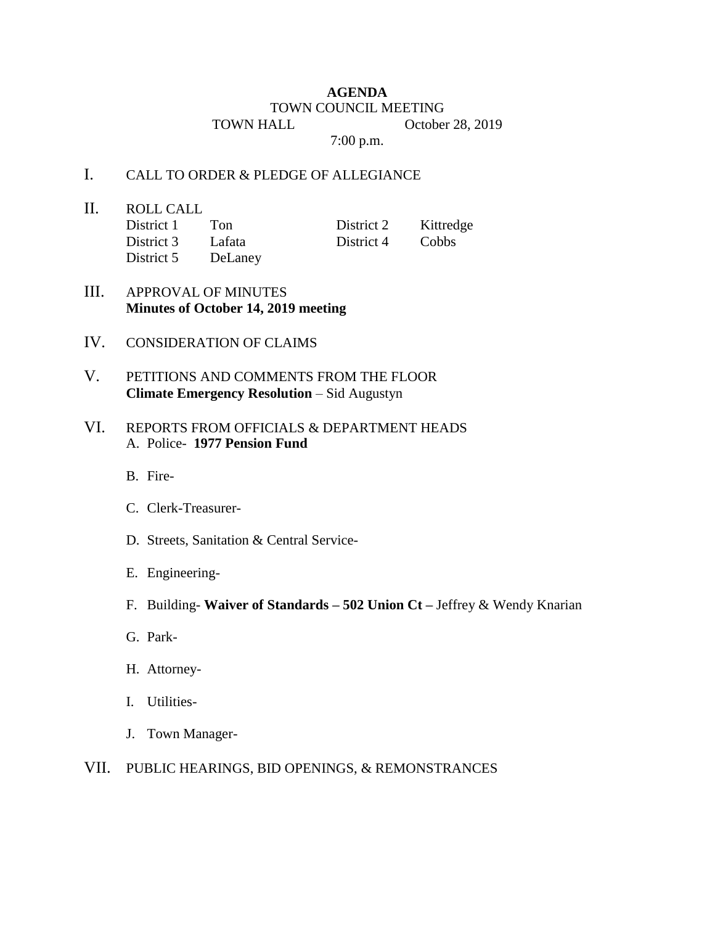## **AGENDA** TOWN COUNCIL MEETING TOWN HALL October 28, 2019

7:00 p.m.

## I. CALL TO ORDER & PLEDGE OF ALLEGIANCE

- II. ROLL CALL District 1 Ton District 2 Kittredge District 3 Lafata District 4 Cobbs
	- District 5 DeLaney

- III. APPROVAL OF MINUTES **Minutes of October 14, 2019 meeting**
- IV. CONSIDERATION OF CLAIMS
- V. PETITIONS AND COMMENTS FROM THE FLOOR **Climate Emergency Resolution** – Sid Augustyn

## VI. REPORTS FROM OFFICIALS & DEPARTMENT HEADS A. Police- **1977 Pension Fund**

- B. Fire-
- C. Clerk-Treasurer-
- D. Streets, Sanitation & Central Service-
- E. Engineering-
- F. Building- **Waiver of Standards – 502 Union Ct –** Jeffrey & Wendy Knarian
- G. Park-
- H. Attorney-
- I. Utilities-
- J. Town Manager-
- VII. PUBLIC HEARINGS, BID OPENINGS, & REMONSTRANCES